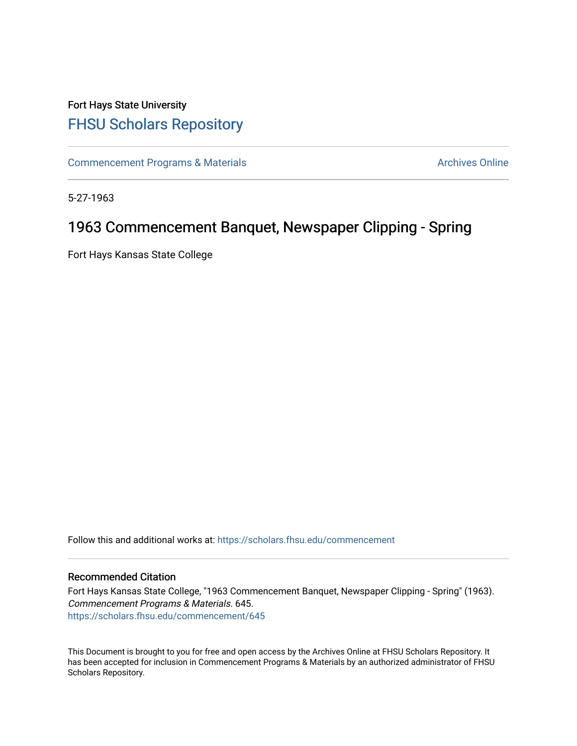### Fort Hays State University [FHSU Scholars Repository](https://scholars.fhsu.edu/)

[Commencement Programs & Materials](https://scholars.fhsu.edu/commencement) **Archives Online** Archives Online

5-27-1963

### 1963 Commencement Banquet, Newspaper Clipping - Spring

Fort Hays Kansas State College

Follow this and additional works at: [https://scholars.fhsu.edu/commencement](https://scholars.fhsu.edu/commencement?utm_source=scholars.fhsu.edu%2Fcommencement%2F645&utm_medium=PDF&utm_campaign=PDFCoverPages)

#### Recommended Citation

Fort Hays Kansas State College, "1963 Commencement Banquet, Newspaper Clipping - Spring" (1963). Commencement Programs & Materials. 645. [https://scholars.fhsu.edu/commencement/645](https://scholars.fhsu.edu/commencement/645?utm_source=scholars.fhsu.edu%2Fcommencement%2F645&utm_medium=PDF&utm_campaign=PDFCoverPages)

This Document is brought to you for free and open access by the Archives Online at FHSU Scholars Repository. It has been accepted for inclusion in Commencement Programs & Materials by an authorized administrator of FHSU Scholars Repository.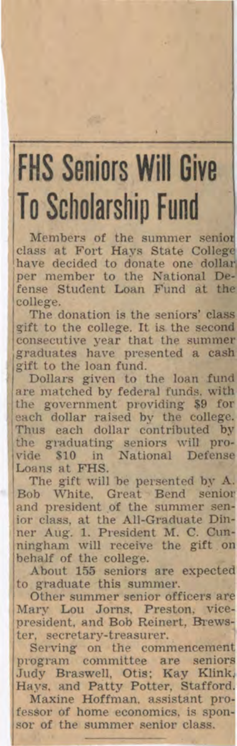# **FHS Seniors Will Give To Scholarship Fund**

Members of the summer senio class at Fort Hays State Colleg have decided to donate one dollar per member to the National Defense Student Loan Fund at the college.

The donation is the seniors' class gift to the college. It is the second consecutive year that the summer graduates have presented a cash gift to the loan fund.

Dollars given to the loan fund are matched by federal funds. with the government providing \$9 for each dollar raised by the college. Thus each dollar contributed by the graduating seniors will provide \$10 in National Defense Loans at FHS.

The gift will be persented by A. Bob White, Great Bend senior and president of the summer senior class, at the All-Graduate Din-ner Aug. 1. President M. C. Cun ningham will receive the gift on behalf of the college.

About 155 seniors are expected to graduate this summer.

Other summer senior officers ar Mary Lou Jorns, Preston, vicepresident, and Bob Reinert, Brews ter, secretary-treasurer.

Serving on the commencemen program committee are senior Judy Braswell, Otis; Kay Klink Hays. and Patty Potter, Stafford Maxine Hoffman, assistant pro

fessor of home economics, is spon sor of the summer senior class.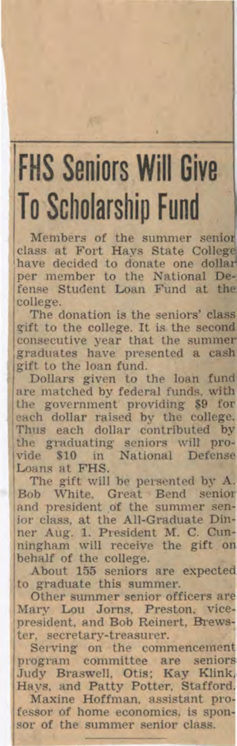# **FHS Seniors Will Give To Scholarship Fund**

Members of the summer senior<br>class at Fort Hays State College have decided to donate one dollar per member to the National Defense Student Loan Fund at the college.<br>The donation is the seniors' class

gift to the college. It is the second consecutive year that the summer<br>graduates have presented a cash gift to the loan fund.

Dollars given to the loan fund are matched by federal funds. with the government providing \$9 for each dollar raised by the college.<br>Thus each dollar contributed by the graduating seniors will provide \$10 in National Defense Loans at FHS.

The gift will be persented by A. Bob White, Great Bend senio ior class, at the All-Graduate Dinner Aug. 1. President M. C. Cunningham will receive the gift o behalf of the college.

About 155 seniors are expected<br>to graduate this summer.

Other summer senior officers are<br>Mary Lou Jorns, Preston, vicepresident, and Bob Reinert, Brews

ter, secretary-treasurer. Serving on the commencement<br>program committee are seniors<br>Judy Braswell, Otis; Kay Klink Hays. and Patty Potter, Stafford Maxine Hoffman, assistant pro fessor of home economics, is sponsor of the summer senior class.